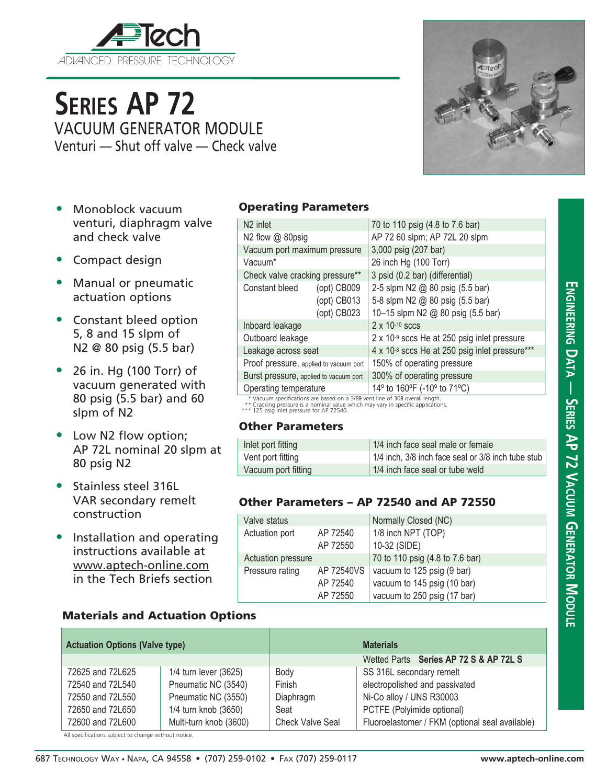

# **Series AP 72** VACUUM GENERATOR MODULE Venturi — Shut off valve — Check valve

- Monoblock vacuum venturi, diaphragm valve and check valve
- Compact design
- Manual or pneumatic actuation options
- Constant bleed option 5, 8 and 15 slpm of N2 @ 80 psig (5.5 bar)
- 26 in. Hg (100 Torr) of vacuum generated with 80 psig (5.5 bar) and 60 slpm of N2
- Low N2 flow option; AP 72L nominal 20 slpm at 80 psig N2
- Stainless steel 316L VAR secondary remelt construction
- Installation and operating instructions available at www.aptech-online.com in the Tech Briefs section

### Materials and Actuation Options

| <b>Actuation Options (Valve type)</b> |                        |                         | <b>Materials</b>                                |
|---------------------------------------|------------------------|-------------------------|-------------------------------------------------|
|                                       |                        |                         | Wetted Parts Series AP 72 S & AP 72L S          |
| 72625 and 72L625                      | 1/4 turn lever (3625)  | Body                    | SS 316L secondary remelt                        |
| 72540 and 72L540                      | Pneumatic NC (3540)    | Finish                  | electropolished and passivated                  |
| 72550 and 72L550                      | Pneumatic NC (3550)    | Diaphragm               | Ni-Co alloy / UNS R30003                        |
| 72650 and 72L650                      | 1/4 turn knob (3650)   | Seat                    | PCTFE (Polyimide optional)                      |
| 72600 and 72L600                      | Multi-turn knob (3600) | <b>Check Valve Seal</b> | Fluoroelastomer / FKM (optional seal available) |

All specifications subject to change without notice.

#### Operating Parameters

| N <sub>2</sub> inlet                   |                   | 70 to 110 psig (4.8 to 7.6 bar)                |  |  |
|----------------------------------------|-------------------|------------------------------------------------|--|--|
| N2 flow @ 80psig                       |                   | AP 72 60 slpm; AP 72L 20 slpm                  |  |  |
| Vacuum port maximum pressure           |                   | 3,000 psig (207 bar)                           |  |  |
| Vacuum*                                |                   | 26 inch Hg (100 Torr)                          |  |  |
| Check valve cracking pressure**        |                   | 3 psid (0.2 bar) (differential)                |  |  |
| Constant bleed                         | $($ opt $)$ CB009 | 2-5 slpm N2 @ 80 psig (5.5 bar)                |  |  |
|                                        | (opt) CB013       | 5-8 slpm N2 @ 80 psig (5.5 bar)                |  |  |
|                                        | (opt) CB023       | 10-15 slpm N2 @ 80 psig (5.5 bar)              |  |  |
| Inboard leakage                        |                   | $2 \times 10^{-10}$ sccs                       |  |  |
| Outboard leakage                       |                   | 2 x 10-9 sccs He at 250 psig inlet pressure    |  |  |
| Leakage across seat                    |                   | 4 x 10-8 sccs He at 250 psig inlet pressure*** |  |  |
| Proof pressure, applied to vacuum port |                   | 150% of operating pressure                     |  |  |
| Burst pressure, applied to vacuum port |                   | 300% of operating pressure                     |  |  |
| Operating temperature                  |                   | 14° to 160°F (-10° to 71°C)                    |  |  |

\* Vacuum specifications are based on a 3/89 vent line of 309 overall length. \*\* Cracking pressure is a nominal value which may vary in specific applications. \*\*\* 125 psig inlet pressure for AP 72540.

#### Other Parameters

| Inlet port fitting  | 1/4 inch face seal male or female                  |
|---------------------|----------------------------------------------------|
| Vent port fitting   | 1/4 inch, 3/8 inch face seal or 3/8 inch tube stub |
| Vacuum port fitting | 1/4 inch face seal or tube weld                    |

#### Other Parameters – AP 72540 and AP 72550

| Valve status       |            | Normally Closed (NC)            |  |
|--------------------|------------|---------------------------------|--|
| Actuation port     | AP 72540   | 1/8 inch NPT (TOP)              |  |
|                    | AP 72550   | 10-32 (SIDE)                    |  |
| Actuation pressure |            | 70 to 110 psig (4.8 to 7.6 bar) |  |
| Pressure rating    | AP 72540VS | vacuum to 125 psig (9 bar)      |  |
|                    | AP 72540   | vacuum to 145 psig (10 bar)     |  |
|                    | AP 72550   | vacuum to 250 psig (17 bar)     |  |